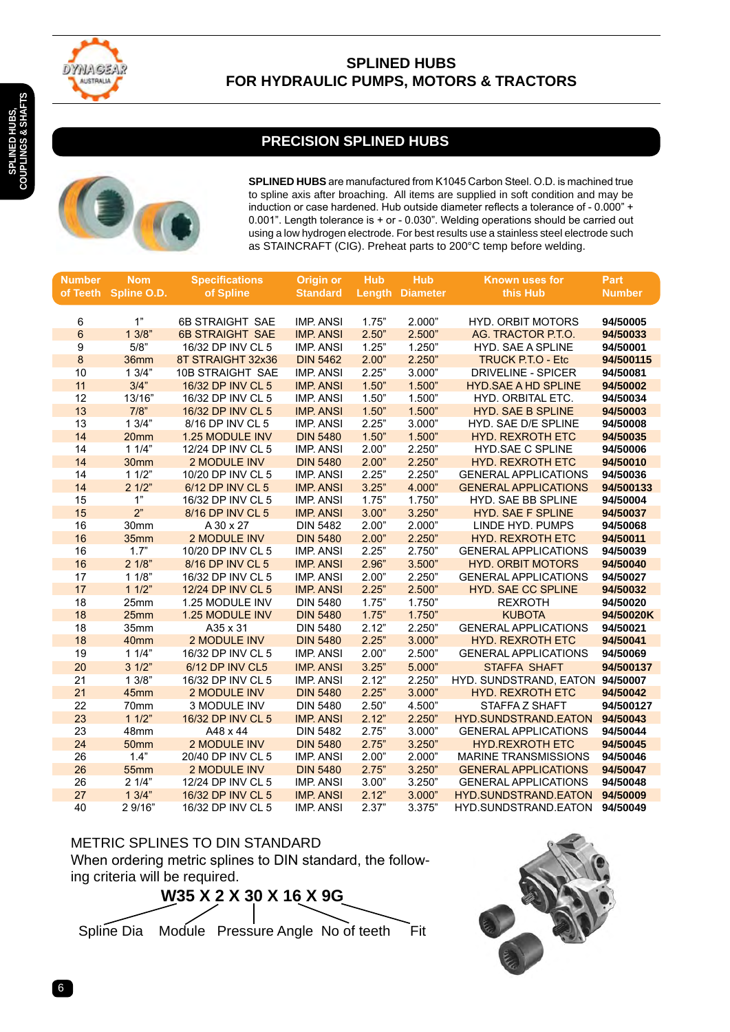

### **SPLINED HUBS FOR HYDRAULIC PUMPS, MOTORS & TRACTORS**

# **PRECISION SPLINED HUBS**



**SPLINED HUBS** are manufactured from K1045 Carbon Steel. O.D. is machined true to spline axis after broaching. All items are supplied in soft condition and may be induction or case hardened. Hub outside diameter reflects a tolerance of - 0.000" + 0.001". Length tolerance is + or - 0.030". Welding operations should be carried out using a low hydrogen electrode. For best results use a stainless steel electrode such as STAINCRAFT (CIG). Preheat parts to 200°C temp before welding.

| <b>Number</b>    | <b>Nom</b>     | <b>Specifications</b>  | <b>Origin or</b> | <b>Hub</b> | <b>Hub</b>      | Known uses for                  | Part          |
|------------------|----------------|------------------------|------------------|------------|-----------------|---------------------------------|---------------|
| of Teeth         | Spline O.D.    | of Spline              | <b>Standard</b>  | Length     | <b>Diameter</b> | this Hub                        | <b>Number</b> |
|                  |                |                        |                  |            |                 |                                 |               |
| 6                | 1"             | 6B STRAIGHT SAE        | <b>IMP. ANSI</b> | 1.75"      | 2.000"          | <b>HYD. ORBIT MOTORS</b>        | 94/50005      |
| $6\phantom{1}$   | 13/8"          | <b>6B STRAIGHT SAE</b> | <b>IMP. ANSI</b> | 2.50"      | 2.500"          | AG. TRACTOR P.T.O.              | 94/50033      |
| 9                | 5/8"           | 16/32 DP INV CL 5      | <b>IMP. ANSI</b> | 1.25"      | 1.250"          | <b>HYD. SAE A SPLINE</b>        | 94/50001      |
| $\boldsymbol{8}$ | 36mm           | 8T STRAIGHT 32x36      | <b>DIN 5462</b>  | 2.00"      | 2.250"          | <b>TRUCK P.T.O - Etc</b>        | 94/500115     |
| 10               | 13/4"          | 10B STRAIGHT SAE       | <b>IMP. ANSI</b> | 2.25"      | 3.000"          | <b>DRIVELINE - SPICER</b>       | 94/50081      |
| 11               | 3/4"           | 16/32 DP INV CL 5      | <b>IMP. ANSI</b> | 1.50"      | 1.500"          | <b>HYD.SAE A HD SPLINE</b>      | 94/50002      |
| 12               | 13/16"         | 16/32 DP INV CL 5      | <b>IMP. ANSI</b> | 1.50"      | 1.500"          | HYD. ORBITAL ETC.               | 94/50034      |
| 13               | 7/8"           | 16/32 DP INV CL 5      | <b>IMP. ANSI</b> | 1.50"      | 1.500"          | <b>HYD. SAE B SPLINE</b>        | 94/50003      |
| 13               | 13/4"          | 8/16 DP INV CL 5       | <b>IMP. ANSI</b> | 2.25"      | 3.000"          | HYD. SAE D/E SPLINE             | 94/50008      |
| 14               | 20mm           | 1.25 MODULE INV        | <b>DIN 5480</b>  | 1.50"      | 1.500"          | <b>HYD. REXROTH ETC</b>         | 94/50035      |
| 14               | 11/4"          | 12/24 DP INV CL 5      | <b>IMP. ANSI</b> | 2.00"      | 2.250"          | HYD.SAE C SPLINE                | 94/50006      |
| 14               | 30mm           | 2 MODULE INV           | <b>DIN 5480</b>  | 2.00"      | 2.250"          | <b>HYD. REXROTH ETC</b>         | 94/50010      |
| 14               | 11/2"          | 10/20 DP INV CL 5      | <b>IMP. ANSI</b> | 2.25"      | 2.250"          | <b>GENERAL APPLICATIONS</b>     | 94/50036      |
| 14               | 21/2"          | 6/12 DP INV CL 5       | <b>IMP. ANSI</b> | 3.25"      | 4.000"          | <b>GENERAL APPLICATIONS</b>     | 94/500133     |
| 15               | 1"             | 16/32 DP INV CL 5      | <b>IMP. ANSI</b> | 1.75"      | 1.750"          | <b>HYD. SAE BB SPLINE</b>       | 94/50004      |
| 15               | 2 <sup>n</sup> | 8/16 DP INV CL 5       | <b>IMP. ANSI</b> | 3.00"      | 3.250"          | HYD. SAE F SPLINE               | 94/50037      |
| 16               | 30mm           | A 30 x 27              | <b>DIN 5482</b>  | 2.00"      | 2.000"          | LINDE HYD. PUMPS                | 94/50068      |
| 16               | 35mm           | 2 MODULE INV           | <b>DIN 5480</b>  | 2.00"      | 2.250"          | <b>HYD. REXROTH ETC</b>         | 94/50011      |
| 16               | 1.7"           | 10/20 DP INV CL 5      | <b>IMP. ANSI</b> | 2.25"      | 2.750"          | <b>GENERAL APPLICATIONS</b>     | 94/50039      |
| 16               | 21/8"          | 8/16 DP INV CL 5       | <b>IMP. ANSI</b> | 2.96"      | 3.500"          | <b>HYD. ORBIT MOTORS</b>        | 94/50040      |
| 17               | 11/8"          | 16/32 DP INV CL 5      | <b>IMP. ANSI</b> | 2.00"      | 2.250"          | <b>GENERAL APPLICATIONS</b>     | 94/50027      |
| 17               | 11/2"          | 12/24 DP INV CL 5      | <b>IMP. ANSI</b> | 2.25"      | 2.500"          | <b>HYD. SAE CC SPLINE</b>       | 94/50032      |
| 18               | 25mm           | 1.25 MODULE INV        | <b>DIN 5480</b>  | 1.75"      | 1.750"          | <b>REXROTH</b>                  | 94/50020      |
| 18               | 25mm           | 1.25 MODULE INV        | <b>DIN 5480</b>  | 1.75"      | 1.750"          | <b>KUBOTA</b>                   | 94/50020K     |
| 18               | 35mm           | A35 x 31               | <b>DIN 5480</b>  | 2.12"      | 2.250"          | <b>GENERAL APPLICATIONS</b>     | 94/50021      |
| 18               | 40mm           | <b>2 MODULE INV</b>    | <b>DIN 5480</b>  | 2.25"      | 3.000"          | <b>HYD. REXROTH ETC</b>         | 94/50041      |
| 19               | 11/4"          | 16/32 DP INV CL 5      | <b>IMP. ANSI</b> | 2.00"      | 2.500"          | <b>GENERAL APPLICATIONS</b>     | 94/50069      |
| 20               | 31/2"          | 6/12 DP INV CL5        | <b>IMP. ANSI</b> | 3.25"      | 5.000"          | <b>STAFFA SHAFT</b>             | 94/500137     |
| 21               | 13/8"          | 16/32 DP INV CL 5      | <b>IMP. ANSI</b> | 2.12"      | 2.250"          | HYD. SUNDSTRAND, EATON 94/50007 |               |
| 21               | 45mm           | 2 MODULE INV           | <b>DIN 5480</b>  | 2.25"      | 3.000"          | <b>HYD. REXROTH ETC</b>         | 94/50042      |
| 22               | 70mm           | 3 MODULE INV           | <b>DIN 5480</b>  | 2.50"      | 4.500"          | STAFFA Z SHAFT                  | 94/500127     |
| 23               | 11/2"          | 16/32 DP INV CL 5      | <b>IMP. ANSI</b> | 2.12"      | 2.250"          | <b>HYD.SUNDSTRAND.EATON</b>     | 94/50043      |
| 23               | 48mm           | A48 x 44               | <b>DIN 5482</b>  | 2.75"      | 3.000"          | <b>GENERAL APPLICATIONS</b>     | 94/50044      |
| 24               | 50mm           | <b>2 MODULE INV</b>    | <b>DIN 5480</b>  | 2.75"      | 3.250"          | <b>HYD.REXROTH ETC</b>          | 94/50045      |
| 26               | 1.4"           | 20/40 DP INV CL 5      | <b>IMP. ANSI</b> | 2.00"      | 2.000"          | <b>MARINE TRANSMISSIONS</b>     | 94/50046      |
| 26               | <b>55mm</b>    | 2 MODULE INV           | <b>DIN 5480</b>  | 2.75"      | 3.250"          | <b>GENERAL APPLICATIONS</b>     | 94/50047      |
| 26               | 21/4"          | 12/24 DP INV CL 5      | <b>IMP. ANSI</b> | 3.00"      | 3.250"          | <b>GENERAL APPLICATIONS</b>     | 94/50048      |
| 27               | 13/4"          | 16/32 DP INV CL 5      | <b>IMP. ANSI</b> | 2.12"      | 3.000"          | <b>HYD.SUNDSTRAND.EATON</b>     | 94/50009      |
| 40               | 2 9/16"        | 16/32 DP INV CL 5      | <b>IMP. ANSI</b> | 2.37"      | 3.375"          | HYD.SUNDSTRAND.EATON            | 94/50049      |

METRIC SPLINES TO DIN STANDARD When ordering metric splines to DIN standard, the following criteria will be required.



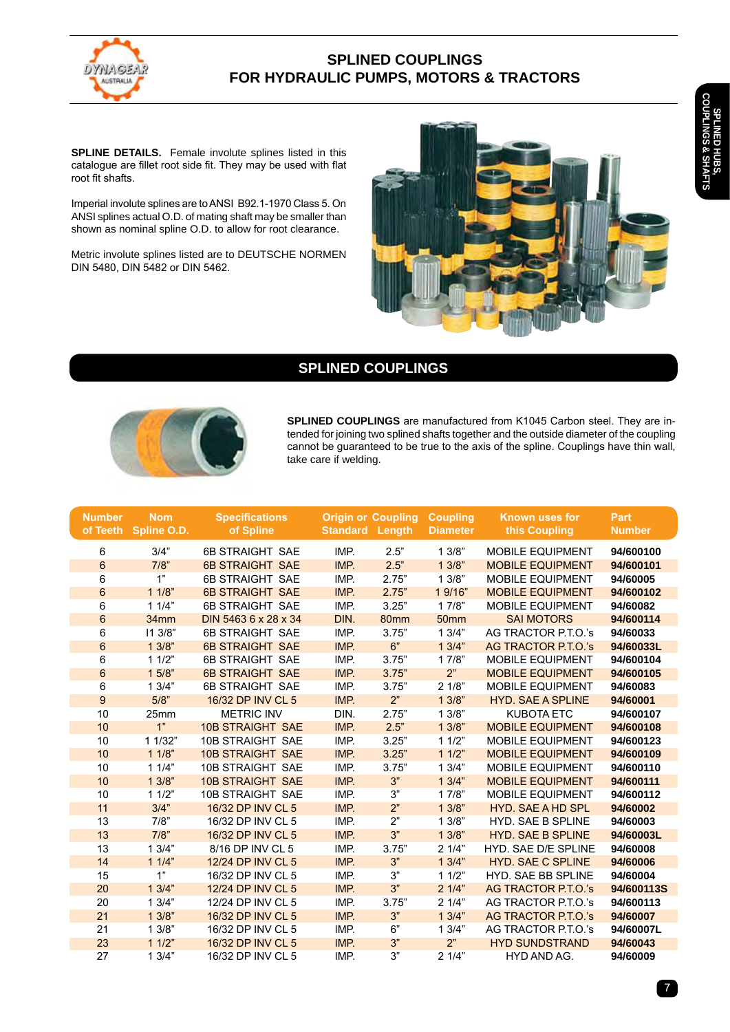

### **SPLINED COUPLINGS FOR HYDRAULIC PUMPS, MOTORS & TRACTORS**

**Splined Hubs,**  SPLINED HUBS,<br>COUPLINGS & SHAI **ouplings & Shafts**

**SPLINE DETAILS.** Female involute splines listed in this catalogue are fillet root side fit. They may be used with flat root fit shafts.

Imperial involute splines are to ANSI B92.1-1970 Class 5. On ANSI splines actual O.D. of mating shaft may be smaller than shown as nominal spline O.D. to allow for root clearance.

Metric involute splines listed are to DEUTSCHE NORMEN DIN 5480, DIN 5482 or DIN 5462.

# **SPLINED COUPLINGS**



**SPLINED COUPLINGS** are manufactured from K1045 Carbon steel. They are intended for joining two splined shafts together and the outside diameter of the coupling cannot be guaranteed to be true to the axis of the spline. Couplings have thin wall, take care if welding.

| <b>Number</b><br>of Teeth | <b>Nom</b><br>Spline O.D. | <b>Specifications</b><br>of Spline | <b>Standard Length</b> | <b>Origin or Coupling</b> | <b>Coupling</b><br><b>Diameter</b> | <b>Known uses for</b><br>this Coupling | Part<br><b>Number</b> |
|---------------------------|---------------------------|------------------------------------|------------------------|---------------------------|------------------------------------|----------------------------------------|-----------------------|
| 6                         | 3/4"                      | <b>6B STRAIGHT SAE</b>             | IMP.                   | 2.5"                      | 13/8"                              | <b>MOBILE EQUIPMENT</b>                | 94/600100             |
| $6\phantom{1}$            | 7/8"                      | <b>6B STRAIGHT SAE</b>             | IMP.                   | $2.5"$                    | 13/8"                              | <b>MOBILE EQUIPMENT</b>                | 94/600101             |
| 6                         | 1"                        | <b>6B STRAIGHT SAE</b>             | IMP.                   | 2.75"                     | 13/8"                              | <b>MOBILE EQUIPMENT</b>                | 94/60005              |
| $\,6\,$                   | 11/8"                     | <b>6B STRAIGHT SAE</b>             | IMP.                   | 2.75"                     | 1 9/16"                            | <b>MOBILE EQUIPMENT</b>                | 94/600102             |
| 6                         | 11/4"                     | <b>6B STRAIGHT SAE</b>             | IMP.                   | 3.25"                     | 17/8"                              | <b>MOBILE EQUIPMENT</b>                | 94/60082              |
| $\,6$                     | 34mm                      | DIN 5463 6 x 28 x 34               | DIN.                   | 80mm                      | 50 <sub>mm</sub>                   | <b>SAI MOTORS</b>                      | 94/600114             |
| 6                         | 113/8"                    | <b>6B STRAIGHT SAE</b>             | IMP.                   | 3.75"                     | 13/4"                              | AG TRACTOR P.T.O.'s                    | 94/60033              |
| $6\phantom{1}$            | 13/8"                     | <b>6B STRAIGHT SAE</b>             | IMP.                   | 6"                        | 13/4"                              | AG TRACTOR P.T.O.'s                    | 94/60033L             |
| 6                         | 11/2"                     | <b>6B STRAIGHT SAE</b>             | IMP.                   | 3.75"                     | 17/8"                              | <b>MOBILE EQUIPMENT</b>                | 94/600104             |
| $\,6$                     | $15/8$ "                  | <b>6B STRAIGHT SAE</b>             | IMP.                   | 3.75"                     | 2 <sup>n</sup>                     | <b>MOBILE EQUIPMENT</b>                | 94/600105             |
| 6                         | 13/4"                     | <b>6B STRAIGHT SAE</b>             | IMP.                   | 3.75"                     | 21/8"                              | <b>MOBILE EQUIPMENT</b>                | 94/60083              |
| 9                         | 5/8"                      | 16/32 DP INV CL 5                  | IMP.                   | 2"                        | 13/8"                              | <b>HYD. SAE A SPLINE</b>               | 94/60001              |
| 10                        | 25mm                      | <b>METRIC INV</b>                  | DIN.                   | 2.75"                     | 13/8"                              | <b>KUBOTA ETC</b>                      | 94/600107             |
| 10                        | 1"                        | <b>10B STRAIGHT SAE</b>            | IMP.                   | 2.5"                      | 13/8"                              | <b>MOBILE EQUIPMENT</b>                | 94/600108             |
| 10                        | 1 1/32"                   | <b>10B STRAIGHT SAE</b>            | IMP.                   | 3.25"                     | 11/2"                              | <b>MOBILE EQUIPMENT</b>                | 94/600123             |
| 10                        | 11/8"                     | <b>10B STRAIGHT SAE</b>            | IMP.                   | 3.25"                     | 11/2"                              | <b>MOBILE EQUIPMENT</b>                | 94/600109             |
| 10                        | 11/4"                     | 10B STRAIGHT SAE                   | IMP.                   | 3.75"                     | 13/4"                              | <b>MOBILE EQUIPMENT</b>                | 94/600110             |
| 10                        | 13/8"                     | <b>10B STRAIGHT SAE</b>            | IMP.                   | 3 <sup>n</sup>            | 13/4"                              | <b>MOBILE EQUIPMENT</b>                | 94/600111             |
| 10                        | 11/2"                     | <b>10B STRAIGHT SAE</b>            | IMP.                   | 3"                        | 17/8"                              | <b>MOBILE EQUIPMENT</b>                | 94/600112             |
| 11                        | 3/4"                      | 16/32 DP INV CL 5                  | IMP.                   | 2 <sup>n</sup>            | 13/8"                              | <b>HYD. SAE A HD SPL</b>               | 94/60002              |
| 13                        | 7/8"                      | 16/32 DP INV CL 5                  | IMP.                   | 2"                        | 13/8"                              | <b>HYD. SAE B SPLINE</b>               | 94/60003              |
| 13                        | 7/8"                      | 16/32 DP INV CL 5                  | IMP.                   | 3"                        | 13/8"                              | <b>HYD. SAE B SPLINE</b>               | 94/60003L             |
| 13                        | 13/4"                     | 8/16 DP INV CL 5                   | IMP.                   | 3.75"                     | 21/4"                              | HYD. SAE D/E SPLINE                    | 94/60008              |
| 14                        | 11/4"                     | 12/24 DP INV CL 5                  | IMP.                   | 3"                        | 13/4"                              | <b>HYD. SAE C SPLINE</b>               | 94/60006              |
| 15                        | 1"                        | 16/32 DP INV CL 5                  | IMP.                   | 3"                        | 11/2"                              | <b>HYD. SAE BB SPLINE</b>              | 94/60004              |
| 20                        | 13/4"                     | 12/24 DP INV CL 5                  | IMP.                   | 3"                        | 21/4"                              | AG TRACTOR P.T.O.'s                    | 94/600113S            |
| 20                        | 13/4"                     | 12/24 DP INV CL 5                  | IMP.                   | 3.75"                     | 21/4"                              | AG TRACTOR P.T.O.'s                    | 94/600113             |
| 21                        | 13/8"                     | 16/32 DP INV CL 5                  | IMP.                   | 3"                        | 13/4"                              | AG TRACTOR P.T.O.'s                    | 94/60007              |
| 21                        | 13/8"                     | 16/32 DP INV CL 5                  | IMP.                   | 6"                        | 13/4"                              | AG TRACTOR P.T.O.'s                    | 94/60007L             |
| 23                        | 11/2"                     | 16/32 DP INV CL 5                  | IMP.                   | 3"                        | 2 <sup>n</sup>                     | <b>HYD SUNDSTRAND</b>                  | 94/60043              |
| 27                        | 13/4"                     | 16/32 DP INV CL 5                  | IMP.                   | 3"                        | 21/4"                              | HYD AND AG.                            | 94/60009              |